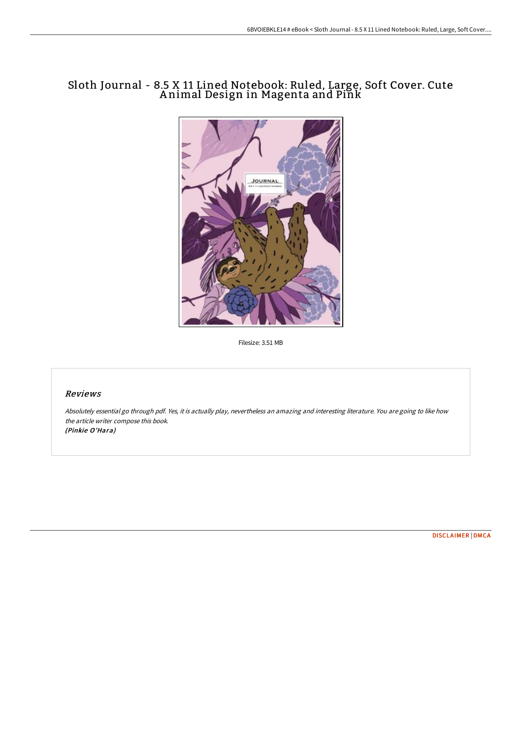# Sloth Journal - 8.5 X 11 Lined Notebook: Ruled, Large, Soft Cover. Cute A nimal Design in Magenta and Pink



Filesize: 3.51 MB

### Reviews

Absolutely essential go through pdf. Yes, it is actually play, nevertheless an amazing and interesting literature. You are going to like how the article writer compose this book. (Pinkie O'Hara)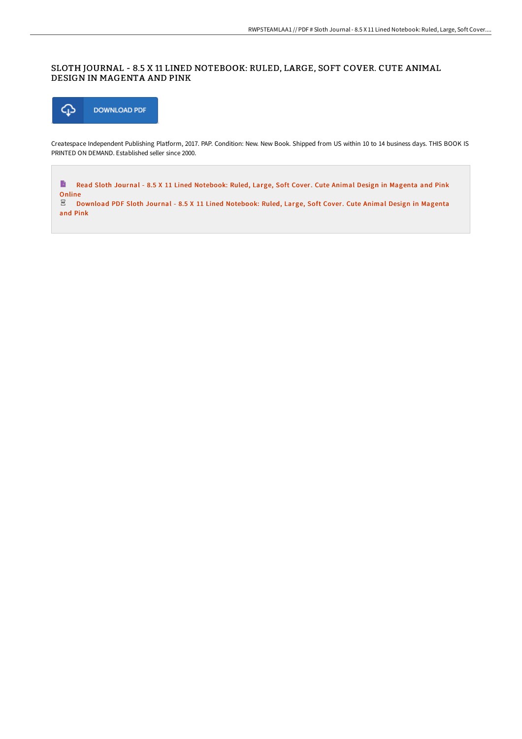## SLOTH JOURNAL - 8.5 X 11 LINED NOTEBOOK: RULED, LARGE, SOFT COVER. CUTE ANIMAL DESIGN IN MAGENTA AND PINK



Createspace Independent Publishing Platform, 2017. PAP. Condition: New. New Book. Shipped from US within 10 to 14 business days. THIS BOOK IS PRINTED ON DEMAND. Established seller since 2000.

 $\blacksquare$ Read Sloth Journal - 8.5 X 11 Lined [Notebook:](http://techno-pub.tech/sloth-journal-8-5-x-11-lined-notebook-ruled-larg-9.html) Ruled, Large, Soft Cover. Cute Animal Design in Magenta and Pink Online<br> $\overline{E}$  De

Download PDF Sloth Journal - 8.5 X 11 Lined [Notebook:](http://techno-pub.tech/sloth-journal-8-5-x-11-lined-notebook-ruled-larg-9.html) Ruled, Large, Soft Cover. Cute Animal Design in Magenta and Pink